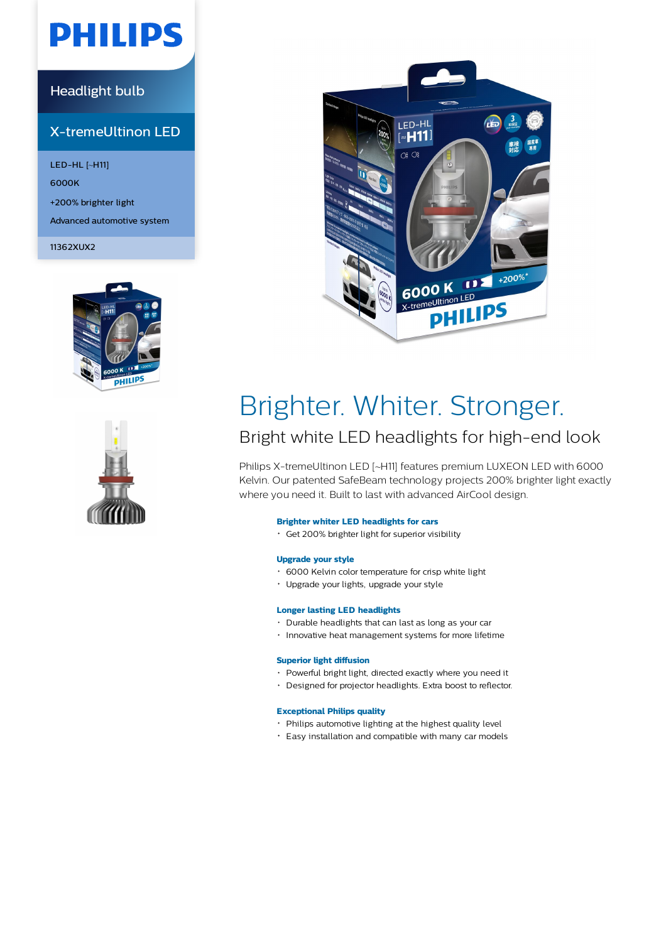# **PHILIPS**

## Headlight bulb

## X-tremeUltinon LED

LED-HL [~H11] 6000K +200% brighter light Advanced automotive system

11362XUX2







# Brighter. Whiter. Stronger.

## Bright white LED headlights for high-end look

Philips X-tremeUltinon LED [~H11] features premium LUXEON LED with 6000 Kelvin. Our patented SafeBeam technology projects 200% brighter light exactly where you need it. Built to last with advanced AirCool design.

#### **Brighter whiter LED headlights for cars**

Get 200% brighter light for superior visibility

#### **Upgrade your style**

- 6000 Kelvin color temperature for crisp white light
- Upgrade your lights, upgrade your style

#### **Longer lasting LED headlights**

- Durable headlights that can last as long as your car
- $\cdot$  Innovative heat management systems for more lifetime

#### **Superior light diffusion**

- Powerful bright light, directed exactly where you need it
- Designed for projector headlights. Extra boost to reflector.

#### **Exceptional Philips quality**

- Philips automotive lighting at the highest quality level
- Easy installation and compatible with many car models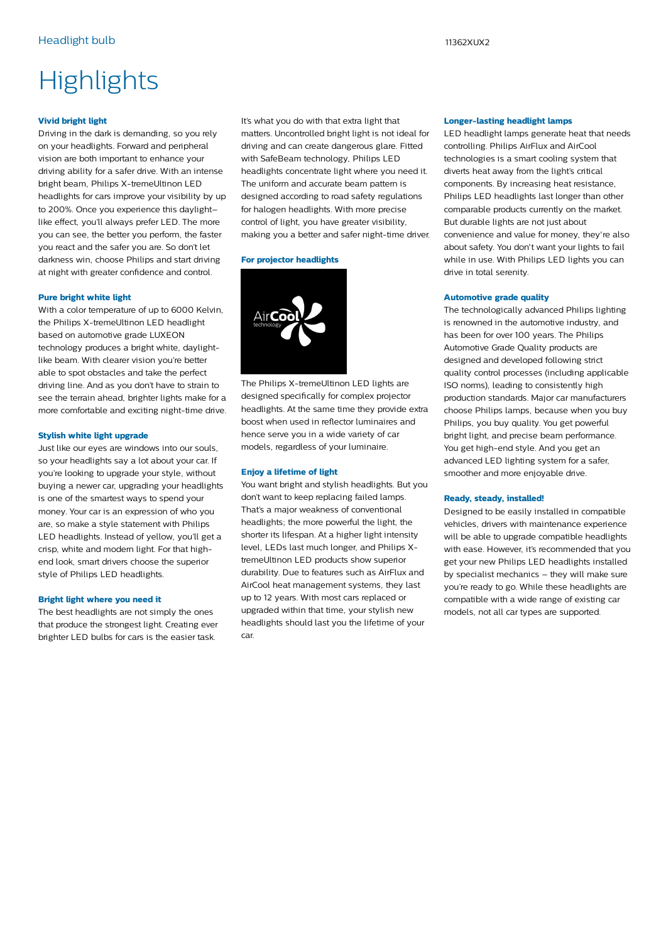# **Highlights**

#### **Vivid bright light**

Driving in the dark is demanding, so you rely on your headlights. Forward and peripheral vision are both important to enhance your driving ability for a safer drive. With an intense bright beam, Philips X-tremeUltinon LED headlights for cars improve your visibility by up to 200%. Once you experience this daylight– like effect, you'll always prefer LED. The more you can see, the better you perform, the faster you react and the safer you are. So don't let darkness win, choose Philips and start driving at night with greater confidence and control.

#### **Pure bright white light**

With a color temperature of up to 6000 Kelvin, the Philips X-tremeUltinon LED headlight based on automotive grade LUXEON technology produces a bright white, daylightlike beam. With clearer vision you're better able to spot obstacles and take the perfect driving line. And as you don't have to strain to see the terrain ahead, brighter lights make for a more comfortable and exciting night-time drive.

#### **Stylish white light upgrade**

Just like our eyes are windows into our souls, so your headlights say a lot about your car. If you're looking to upgrade your style, without buying a newer car, upgrading your headlights is one of the smartest ways to spend your money. Your car is an expression of who you are, so make a style statement with Philips LED headlights. Instead of yellow, you'll get a crisp, white and modern light. For that highend look, smart drivers choose the superior style of Philips LED headlights.

#### **Bright light where you need it**

The best headlights are not simply the ones that produce the strongest light. Creating ever brighter LED bulbs for cars is the easier task.

It's what you do with that extra light that matters. Uncontrolled bright light is not ideal for driving and can create dangerous glare. Fitted with SafeBeam technology, Philips LED headlights concentrate light where you need it. The uniform and accurate beam pattern is designed according to road safety regulations for halogen headlights. With more precise control of light, you have greater visibility, making you a better and safer night-time driver.

#### **For projector headlights**



The Philips X-tremeUltinon LED lights are designed specifically for complex projector headlights. At the same time they provide extra boost when used in reflector luminaires and hence serve you in a wide variety of car models, regardless of your luminaire.

#### **Enjoy a lifetime of light**

You want bright and stylish headlights. But you don't want to keep replacing failed lamps. That's a major weakness of conventional headlights; the more powerful the light, the shorter its lifespan. At a higher light intensity level, LEDs last much longer, and Philips XtremeUltinon LED products show superior durability. Due to features such as AirFlux and AirCool heat management systems, they last up to 12 years. With most cars replaced or upgraded within that time, your stylish new headlights should last you the lifetime of your car.

#### **Longer-lasting headlight lamps**

LED headlight lamps generate heat that needs controlling. Philips AirFlux and AirCool technologies is a smart cooling system that diverts heat away from the light's critical components. By increasing heat resistance, Philips LED headlights last longer than other comparable products currently on the market. But durable lights are not just about convenience and value for money, they're also about safety. You don't want your lights to fail while in use. With Philips LED lights you can drive in total serenity.

#### **Automotive grade quality**

The technologically advanced Philips lighting is renowned in the automotive industry, and has been for over 100 years. The Philips Automotive Grade Quality products are designed and developed following strict quality control processes (including applicable ISO norms), leading to consistently high production standards. Major car manufacturers choose Philips lamps, because when you buy Philips, you buy quality. You get powerful bright light, and precise beam performance. You get high-end style. And you get an advanced LED lighting system for a safer, smoother and more enjoyable drive.

#### **Ready, steady, installed!**

Designed to be easily installed in compatible vehicles, drivers with maintenance experience will be able to upgrade compatible headlights with ease. However, it's recommended that you get your new Philips LED headlights installed by specialist mechanics – they will make sure you're ready to go. While these headlights are compatible with a wide range of existing car models, not all car types are supported.